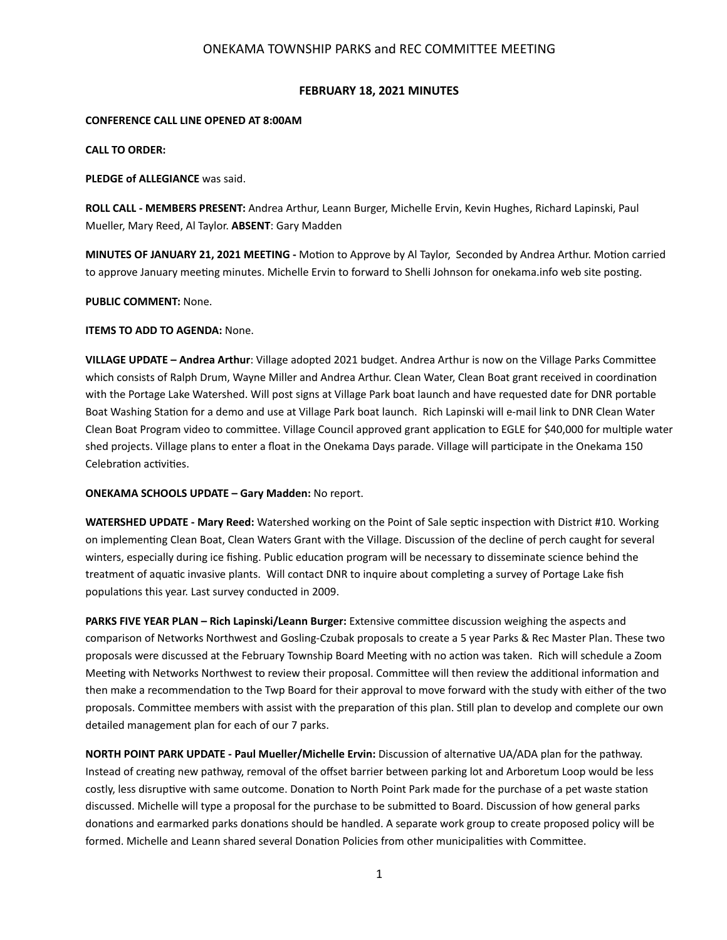## ONEKAMA TOWNSHIP PARKS and REC COMMITTEE MEETING

## **FEBRUARY 18, 2021 MINUTES**

#### **CONFERENCE CALL LINE OPENED AT 8:00AM**

**CALL TO ORDER:** 

## **PLEDGE of ALLEGIANCE** was said.

**ROLL CALL - MEMBERS PRESENT:** Andrea Arthur, Leann Burger, Michelle Ervin, Kevin Hughes, Richard Lapinski, Paul Mueller, Mary Reed, Al Taylor. **ABSENT**: Gary Madden

**MINUTES OF JANUARY 21, 2021 MEETING** - Motion to Approve by Al Taylor, Seconded by Andrea Arthur. Motion carried to approve January meeting minutes. Michelle Ervin to forward to Shelli Johnson for onekama.info web site posting.

#### **PUBLIC COMMENT:** None.

#### **ITEMS TO ADD TO AGENDA: None.**

**VILLAGE UPDATE – Andrea Arthur**: Village adopted 2021 budget. Andrea Arthur is now on the Village Parks Committee which consists of Ralph Drum, Wayne Miller and Andrea Arthur. Clean Water, Clean Boat grant received in coordination with the Portage Lake Watershed. Will post signs at Village Park boat launch and have requested date for DNR portable Boat Washing Station for a demo and use at Village Park boat launch. Rich Lapinski will e-mail link to DNR Clean Water Clean Boat Program video to committee. Village Council approved grant application to EGLE for \$40,000 for multiple water shed projects. Village plans to enter a float in the Onekama Days parade. Village will participate in the Onekama 150 Celebration activities.

## **ONEKAMA SCHOOLS UPDATE – Gary Madden:** No report.

WATERSHED UPDATE - Mary Reed: Watershed working on the Point of Sale septic inspection with District #10. Working on implementing Clean Boat, Clean Waters Grant with the Village. Discussion of the decline of perch caught for several winters, especially during ice fishing. Public education program will be necessary to disseminate science behind the treatment of aquatic invasive plants. Will contact DNR to inquire about completing a survey of Portage Lake fish populations this year. Last survey conducted in 2009.

PARKS FIVE YEAR PLAN - Rich Lapinski/Leann Burger: Extensive committee discussion weighing the aspects and comparison of Networks Northwest and Gosling-Czubak proposals to create a 5 year Parks & Rec Master Plan. These two proposals were discussed at the February Township Board Meeting with no action was taken. Rich will schedule a Zoom Meeting with Networks Northwest to review their proposal. Committee will then review the additional information and then make a recommendation to the Twp Board for their approval to move forward with the study with either of the two proposals. Committee members with assist with the preparation of this plan. Still plan to develop and complete our own detailed management plan for each of our 7 parks.

**NORTH POINT PARK UPDATE - Paul Mueller/Michelle Ervin:** Discussion of alternative UA/ADA plan for the pathway. Instead of creating new pathway, removal of the offset barrier between parking lot and Arboretum Loop would be less costly, less disruptive with same outcome. Donation to North Point Park made for the purchase of a pet waste station discussed. Michelle will type a proposal for the purchase to be submitted to Board. Discussion of how general parks donations and earmarked parks donations should be handled. A separate work group to create proposed policy will be formed. Michelle and Leann shared several Donation Policies from other municipalities with Committee.